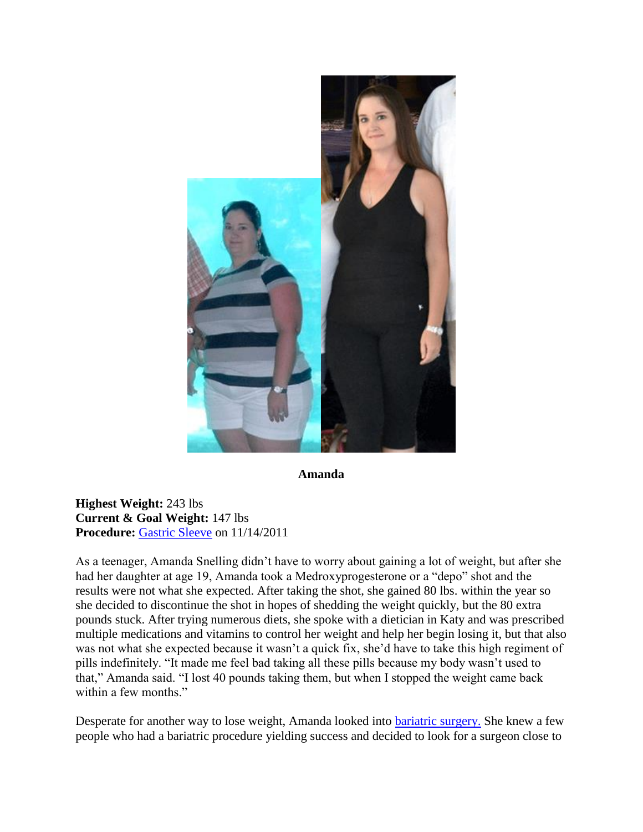

**Amanda**

**Highest Weight:** 243 lbs **Current & Goal Weight:** 147 lbs **Procedure:** [Gastric Sleeve](http://texasbariatricspecialists.com/gastric-sleeve-san-antonio) on 11/14/2011

As a teenager, Amanda Snelling didn't have to worry about gaining a lot of weight, but after she had her daughter at age 19, Amanda took a Medroxyprogesterone or a "depo" shot and the results were not what she expected. After taking the shot, she gained 80 lbs. within the year so she decided to discontinue the shot in hopes of shedding the weight quickly, but the 80 extra pounds stuck. After trying numerous diets, she spoke with a dietician in Katy and was prescribed multiple medications and vitamins to control her weight and help her begin losing it, but that also was not what she expected because it wasn't a quick fix, she'd have to take this high regiment of pills indefinitely. "It made me feel bad taking all these pills because my body wasn't used to that," Amanda said. "I lost 40 pounds taking them, but when I stopped the weight came back within a few months."

Desperate for another way to lose weight, Amanda looked into **bariatric surgery**. She knew a few people who had a bariatric procedure yielding success and decided to look for a surgeon close to